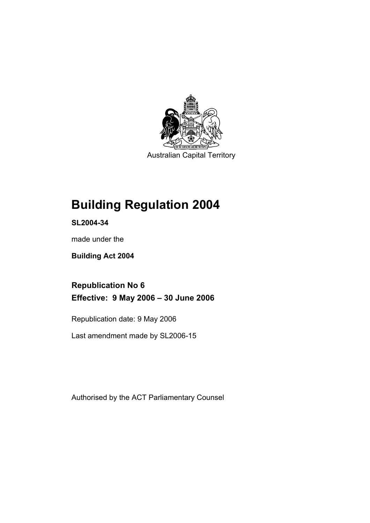

Australian Capital Territory

# **Building Regulation 2004**

**SL2004-34** 

made under the

**Building Act 2004** 

**Republication No 6 Effective: 9 May 2006 – 30 June 2006** 

Republication date: 9 May 2006

Last amendment made by SL2006-15

Authorised by the ACT Parliamentary Counsel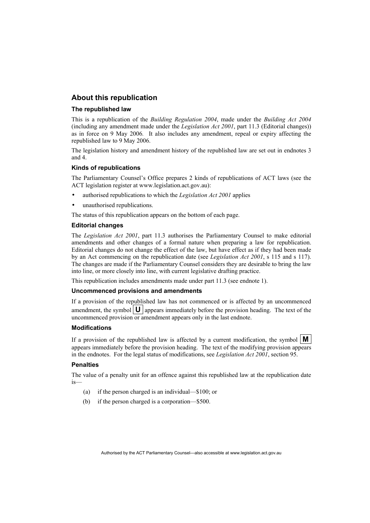## **About this republication**

#### **The republished law**

This is a republication of the *Building Regulation 2004*, made under the *Building Act 2004* (including any amendment made under the *Legislation Act 2001*, part 11.3 (Editorial changes)) as in force on 9 May 2006*.* It also includes any amendment, repeal or expiry affecting the republished law to 9 May 2006.

The legislation history and amendment history of the republished law are set out in endnotes 3 and 4.

#### **Kinds of republications**

The Parliamentary Counsel's Office prepares 2 kinds of republications of ACT laws (see the ACT legislation register at www.legislation.act.gov.au):

- authorised republications to which the *Legislation Act 2001* applies
- unauthorised republications.

The status of this republication appears on the bottom of each page.

#### **Editorial changes**

The *Legislation Act 2001*, part 11.3 authorises the Parliamentary Counsel to make editorial amendments and other changes of a formal nature when preparing a law for republication. Editorial changes do not change the effect of the law, but have effect as if they had been made by an Act commencing on the republication date (see *Legislation Act 2001*, s 115 and s 117). The changes are made if the Parliamentary Counsel considers they are desirable to bring the law into line, or more closely into line, with current legislative drafting practice.

This republication includes amendments made under part 11.3 (see endnote 1).

#### **Uncommenced provisions and amendments**

If a provision of the republished law has not commenced or is affected by an uncommenced amendment, the symbol  $\mathbf{U}$  appears immediately before the provision heading. The text of the uncommenced provision or amendment appears only in the last endnote.

#### **Modifications**

If a provision of the republished law is affected by a current modification, the symbol  $\mathbf{M}$ appears immediately before the provision heading. The text of the modifying provision appears in the endnotes. For the legal status of modifications, see *Legislation Act 2001*, section 95.

#### **Penalties**

The value of a penalty unit for an offence against this republished law at the republication date is—

- (a) if the person charged is an individual—\$100; or
- (b) if the person charged is a corporation—\$500.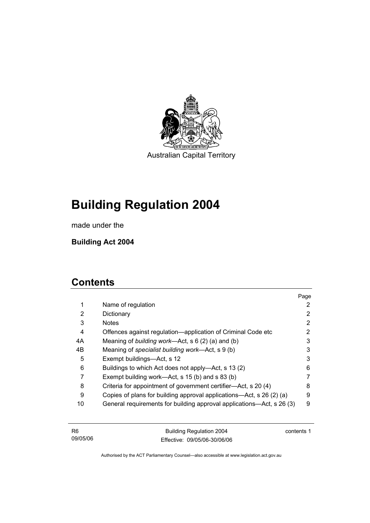

Australian Capital Territory

# **Building Regulation 2004**

made under the

**Building Act 2004** 

## **Contents**

|    |                                                                       | Page |
|----|-----------------------------------------------------------------------|------|
| 1  | Name of regulation                                                    | 2    |
| 2  | Dictionary                                                            | 2    |
| 3  | <b>Notes</b>                                                          | 2    |
| 4  | Offences against regulation—application of Criminal Code etc          | 2    |
| 4A | Meaning of building work—Act, $s \ 6 \ (2) \ (a)$ and (b)             | 3    |
| 4B | Meaning of specialist building work—Act, s 9 (b)                      | 3    |
| 5  | Exempt buildings—Act, s 12                                            | 3    |
| 6  | Buildings to which Act does not apply—Act, s 13 (2)                   | 6    |
| 7  | Exempt building work—Act, s 15 (b) and s 83 (b)                       | 7    |
| 8  | Criteria for appointment of government certifier—Act, s 20 (4)        | 8    |
| 9  | Copies of plans for building approval applications—Act, s 26 (2) (a)  | 9    |
| 10 | General requirements for building approval applications—Act, s 26 (3) | 9    |
|    |                                                                       |      |

| - R6     | Building Regulation 2004     | contents 1 |
|----------|------------------------------|------------|
| 09/05/06 | Effective: 09/05/06-30/06/06 |            |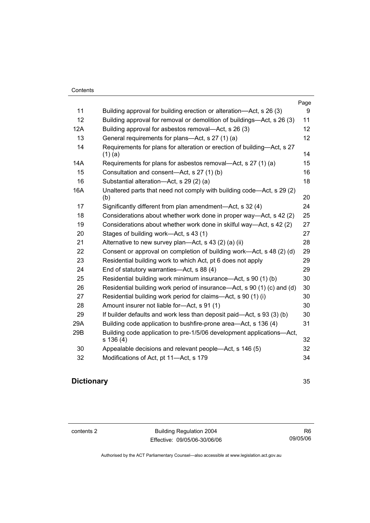|     |                                                                                      | Page |
|-----|--------------------------------------------------------------------------------------|------|
| 11  | Building approval for building erection or alteration-Act, s 26 (3)                  | 9    |
| 12  | Building approval for removal or demolition of buildings—Act, s 26 (3)               | 11   |
| 12A | Building approval for asbestos removal—Act, s 26 (3)                                 | 12   |
| 13  | General requirements for plans-Act, s 27 (1) (a)                                     | 12   |
| 14  | Requirements for plans for alteration or erection of building—Act, s 27<br>$(1)$ (a) | 14   |
| 14A | Requirements for plans for asbestos removal—Act, s 27 (1) (a)                        | 15   |
| 15  | Consultation and consent-Act, s 27 (1) (b)                                           | 16   |
| 16  | Substantial alteration-Act, s 29 (2) (a)                                             | 18   |
| 16A | Unaltered parts that need not comply with building code—Act, s 29 (2)<br>(b)         | 20   |
| 17  | Significantly different from plan amendment—Act, s 32 (4)                            | 24   |
| 18  | Considerations about whether work done in proper way—Act, s 42 (2)                   | 25   |
| 19  | Considerations about whether work done in skilful way—Act, s 42 (2)                  | 27   |
| 20  | Stages of building work—Act, s 43 (1)                                                | 27   |
| 21  | Alternative to new survey plan—Act, s 43 (2) (a) (ii)                                | 28   |
| 22  | Consent or approval on completion of building work—Act, s 48 (2) (d)                 | 29   |
| 23  | Residential building work to which Act, pt 6 does not apply                          | 29   |
| 24  | End of statutory warranties-Act, s 88 (4)                                            | 29   |
| 25  | Residential building work minimum insurance—Act, s 90 (1) (b)                        | 30   |
| 26  | Residential building work period of insurance—Act, s 90 (1) (c) and (d)              | 30   |
| 27  | Residential building work period for claims—Act, s 90 (1) (i)                        | 30   |
| 28  | Amount insurer not liable for-Act, s 91 (1)                                          | 30   |
| 29  | If builder defaults and work less than deposit paid—Act, s 93 (3) (b)                | 30   |
| 29A | Building code application to bushfire-prone area—Act, s 136 (4)                      | 31   |
| 29B | Building code application to pre-1/5/06 development applications-Act,<br>s 136 (4)   | 32   |
| 30  | Appealable decisions and relevant people—Act, s 146 (5)                              | 32   |
| 32  | Modifications of Act, pt 11-Act, s 179                                               | 34   |

## **Dictionary** 35

contents 2 Building Regulation 2004 Effective: 09/05/06-30/06/06

R6 09/05/06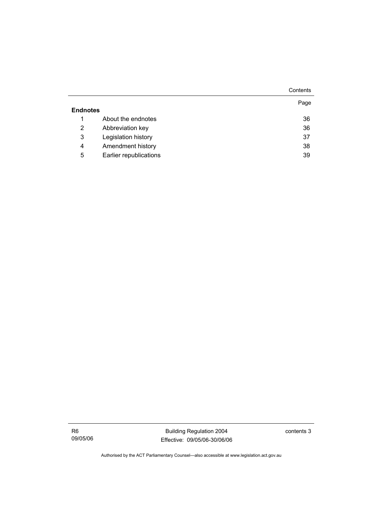|                 |                        | Contents |
|-----------------|------------------------|----------|
|                 |                        | Page     |
| <b>Endnotes</b> |                        |          |
| 1               | About the endnotes     | 36       |
| 2               | Abbreviation key       | 36       |
| 3               | Legislation history    | 37       |
| $\overline{4}$  | Amendment history      | 38       |
| 5               | Earlier republications | 39       |

R6 09/05/06

Building Regulation 2004 Effective: 09/05/06-30/06/06 contents 3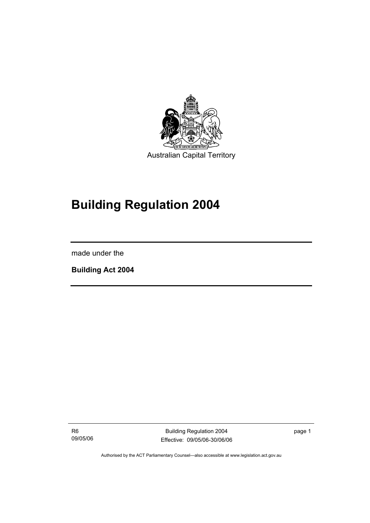

# **Building Regulation 2004**

made under the

I

**Building Act 2004** 

R6 09/05/06

Building Regulation 2004 Effective: 09/05/06-30/06/06 page 1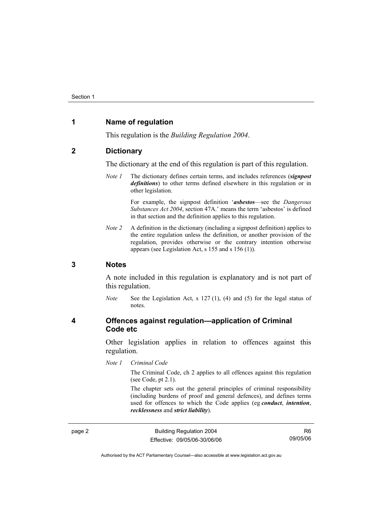## **1 Name of regulation**

This regulation is the *Building Regulation 2004*.

#### **2 Dictionary**

The dictionary at the end of this regulation is part of this regulation.

*Note 1* The dictionary defines certain terms, and includes references (*signpost definitions*) to other terms defined elsewhere in this regulation or in other legislation.

> For example, the signpost definition '*asbestos*—see the *Dangerous Substances Act 2004*, section 47A.' means the term 'asbestos' is defined in that section and the definition applies to this regulation.

*Note 2* A definition in the dictionary (including a signpost definition) applies to the entire regulation unless the definition, or another provision of the regulation, provides otherwise or the contrary intention otherwise appears (see Legislation Act, s 155 and s 156 (1)).

#### **3 Notes**

A note included in this regulation is explanatory and is not part of this regulation.

*Note* See the Legislation Act, s 127 (1), (4) and (5) for the legal status of notes.

#### **4 Offences against regulation—application of Criminal Code etc**

Other legislation applies in relation to offences against this regulation.

*Note 1 Criminal Code*

The Criminal Code, ch 2 applies to all offences against this regulation (see Code, pt 2.1).

The chapter sets out the general principles of criminal responsibility (including burdens of proof and general defences), and defines terms used for offences to which the Code applies (eg *conduct*, *intention*, *recklessness* and *strict liability*).

page 2 **Building Regulation 2004** Effective: 09/05/06-30/06/06

R6 09/05/06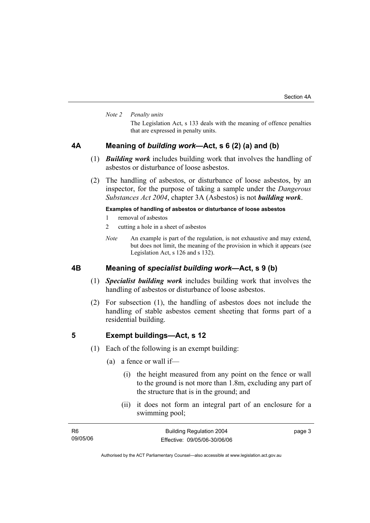#### *Note 2 Penalty units*

The Legislation Act, s 133 deals with the meaning of offence penalties that are expressed in penalty units.

## **4A Meaning of** *building work***—Act, s 6 (2) (a) and (b)**

- (1) *Building work* includes building work that involves the handling of asbestos or disturbance of loose asbestos.
- (2) The handling of asbestos, or disturbance of loose asbestos, by an inspector, for the purpose of taking a sample under the *Dangerous Substances Act 2004*, chapter 3A (Asbestos) is not *building work*.

#### **Examples of handling of asbestos or disturbance of loose asbestos**

- 1 removal of asbestos
- 2 cutting a hole in a sheet of asbestos
- *Note* An example is part of the regulation, is not exhaustive and may extend, but does not limit, the meaning of the provision in which it appears (see Legislation Act, s 126 and s 132).

## **4B Meaning of** *specialist building work***—Act, s 9 (b)**

- (1) *Specialist building work* includes building work that involves the handling of asbestos or disturbance of loose asbestos.
- (2) For subsection (1), the handling of asbestos does not include the handling of stable asbestos cement sheeting that forms part of a residential building.

#### **5 Exempt buildings—Act, s 12**

- (1) Each of the following is an exempt building:
	- (a) a fence or wall if—
		- (i) the height measured from any point on the fence or wall to the ground is not more than 1.8m, excluding any part of the structure that is in the ground; and
		- (ii) it does not form an integral part of an enclosure for a swimming pool;

| - R6     | <b>Building Regulation 2004</b> | page 3 |
|----------|---------------------------------|--------|
| 09/05/06 | Effective: 09/05/06-30/06/06    |        |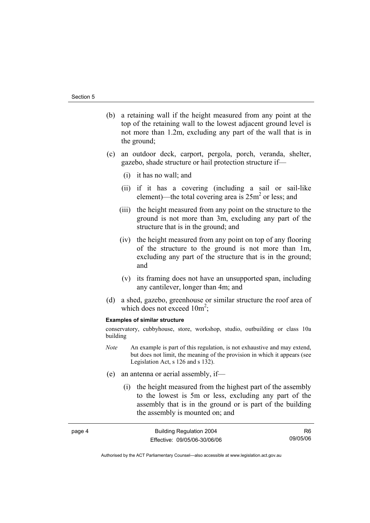page 4

- (b) a retaining wall if the height measured from any point at the top of the retaining wall to the lowest adjacent ground level is not more than 1.2m, excluding any part of the wall that is in the ground;
- (c) an outdoor deck, carport, pergola, porch, veranda, shelter, gazebo, shade structure or hail protection structure if—
	- (i) it has no wall; and
	- (ii) if it has a covering (including a sail or sail-like element)—the total covering area is  $25m^2$  or less; and
	- (iii) the height measured from any point on the structure to the ground is not more than 3m, excluding any part of the structure that is in the ground; and
	- (iv) the height measured from any point on top of any flooring of the structure to the ground is not more than 1m, excluding any part of the structure that is in the ground; and
	- (v) its framing does not have an unsupported span, including any cantilever, longer than 4m; and
- (d) a shed, gazebo, greenhouse or similar structure the roof area of which does not exceed  $10m^2$ ;

#### **Examples of similar structure**

conservatory, cubbyhouse, store, workshop, studio, outbuilding or class 10a building

- *Note* An example is part of this regulation, is not exhaustive and may extend, but does not limit, the meaning of the provision in which it appears (see Legislation Act, s 126 and s 132).
- (e) an antenna or aerial assembly, if—
	- (i) the height measured from the highest part of the assembly to the lowest is 5m or less, excluding any part of the assembly that is in the ground or is part of the building the assembly is mounted on; and

| Building Regulation 2004     | R6.      |
|------------------------------|----------|
| Effective: 09/05/06-30/06/06 | 09/05/06 |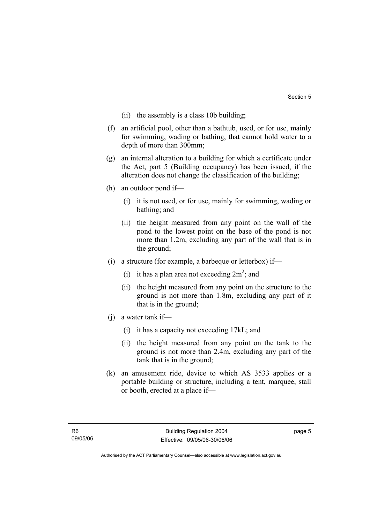- (ii) the assembly is a class 10b building;
- (f) an artificial pool, other than a bathtub, used, or for use, mainly for swimming, wading or bathing, that cannot hold water to a depth of more than 300mm;
- (g) an internal alteration to a building for which a certificate under the Act, part 5 (Building occupancy) has been issued, if the alteration does not change the classification of the building;
- (h) an outdoor pond if—
	- (i) it is not used, or for use, mainly for swimming, wading or bathing; and
	- (ii) the height measured from any point on the wall of the pond to the lowest point on the base of the pond is not more than 1.2m, excluding any part of the wall that is in the ground;
- (i) a structure (for example, a barbeque or letterbox) if—
- (i) it has a plan area not exceeding  $2m^2$ ; and
	- (ii) the height measured from any point on the structure to the ground is not more than 1.8m, excluding any part of it that is in the ground;
	- (j) a water tank if—
		- (i) it has a capacity not exceeding 17kL; and
		- (ii) the height measured from any point on the tank to the ground is not more than 2.4m, excluding any part of the tank that is in the ground;
	- (k) an amusement ride, device to which AS 3533 applies or a portable building or structure, including a tent, marquee, stall or booth, erected at a place if—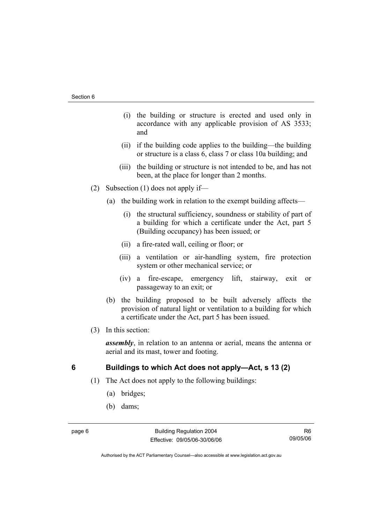- (i) the building or structure is erected and used only in accordance with any applicable provision of AS 3533; and
- (ii) if the building code applies to the building—the building or structure is a class 6, class 7 or class 10a building; and
- (iii) the building or structure is not intended to be, and has not been, at the place for longer than 2 months.
- (2) Subsection (1) does not apply if—
	- (a) the building work in relation to the exempt building affects—
		- (i) the structural sufficiency, soundness or stability of part of a building for which a certificate under the Act, part 5 (Building occupancy) has been issued; or
		- (ii) a fire-rated wall, ceiling or floor; or
		- (iii) a ventilation or air-handling system, fire protection system or other mechanical service; or
		- (iv) a fire-escape, emergency lift, stairway, exit or passageway to an exit; or
	- (b) the building proposed to be built adversely affects the provision of natural light or ventilation to a building for which a certificate under the Act, part 5 has been issued.
- (3) In this section:

*assembly*, in relation to an antenna or aerial, means the antenna or aerial and its mast, tower and footing.

## **6 Buildings to which Act does not apply—Act, s 13 (2)**

- (1) The Act does not apply to the following buildings:
	- (a) bridges;
	- (b) dams;

R6 09/05/06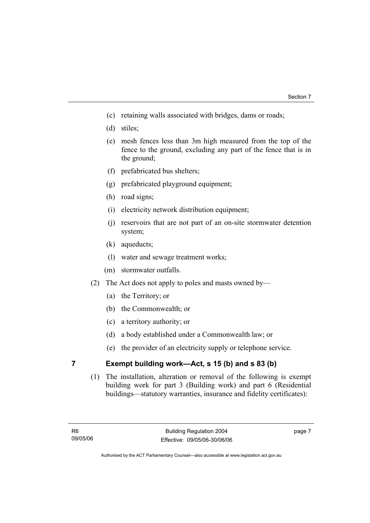- (c) retaining walls associated with bridges, dams or roads;
- (d) stiles;
- (e) mesh fences less than 3m high measured from the top of the fence to the ground, excluding any part of the fence that is in the ground;
- (f) prefabricated bus shelters;
- (g) prefabricated playground equipment;
- (h) road signs;
- (i) electricity network distribution equipment;
- (j) reservoirs that are not part of an on-site stormwater detention system;
- (k) aqueducts;
- (l) water and sewage treatment works;
- (m) stormwater outfalls.
- (2) The Act does not apply to poles and masts owned by—
	- (a) the Territory; or
	- (b) the Commonwealth; or
	- (c) a territory authority; or
	- (d) a body established under a Commonwealth law; or
	- (e) the provider of an electricity supply or telephone service.

## **7 Exempt building work—Act, s 15 (b) and s 83 (b)**

 (1) The installation, alteration or removal of the following is exempt building work for part 3 (Building work) and part 6 (Residential buildings—statutory warranties, insurance and fidelity certificates):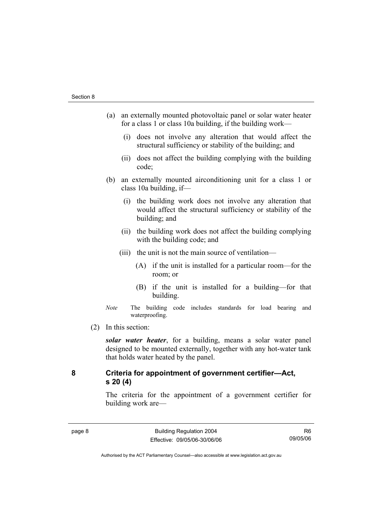- (a) an externally mounted photovoltaic panel or solar water heater for a class 1 or class 10a building, if the building work—
	- (i) does not involve any alteration that would affect the structural sufficiency or stability of the building; and
	- (ii) does not affect the building complying with the building code;
- (b) an externally mounted airconditioning unit for a class 1 or class 10a building, if—
	- (i) the building work does not involve any alteration that would affect the structural sufficiency or stability of the building; and
	- (ii) the building work does not affect the building complying with the building code; and
	- (iii) the unit is not the main source of ventilation—
		- (A) if the unit is installed for a particular room—for the room; or
		- (B) if the unit is installed for a building—for that building.
- *Note* The building code includes standards for load bearing and waterproofing.
- (2) In this section:

*solar water heater*, for a building, means a solar water panel designed to be mounted externally, together with any hot-water tank that holds water heated by the panel.

## **8 Criteria for appointment of government certifier—Act, s 20 (4)**

The criteria for the appointment of a government certifier for building work are—

R6 09/05/06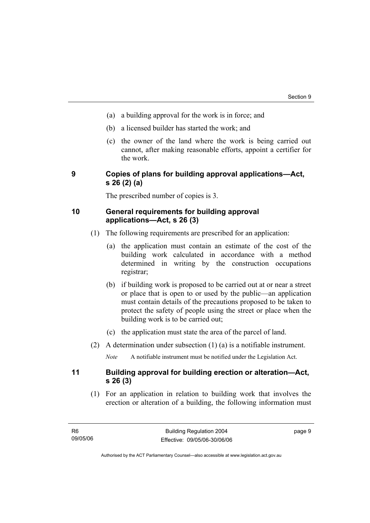- (a) a building approval for the work is in force; and
- (b) a licensed builder has started the work; and
- (c) the owner of the land where the work is being carried out cannot, after making reasonable efforts, appoint a certifier for the work.

## **9 Copies of plans for building approval applications—Act, s 26 (2) (a)**

The prescribed number of copies is 3.

## **10 General requirements for building approval applications—Act, s 26 (3)**

- (1) The following requirements are prescribed for an application:
	- (a) the application must contain an estimate of the cost of the building work calculated in accordance with a method determined in writing by the construction occupations registrar;
	- (b) if building work is proposed to be carried out at or near a street or place that is open to or used by the public—an application must contain details of the precautions proposed to be taken to protect the safety of people using the street or place when the building work is to be carried out;
	- (c) the application must state the area of the parcel of land.
- (2) A determination under subsection (1) (a) is a notifiable instrument.

*Note* A notifiable instrument must be notified under the Legislation Act.

## **11 Building approval for building erection or alteration—Act, s 26 (3)**

 (1) For an application in relation to building work that involves the erection or alteration of a building, the following information must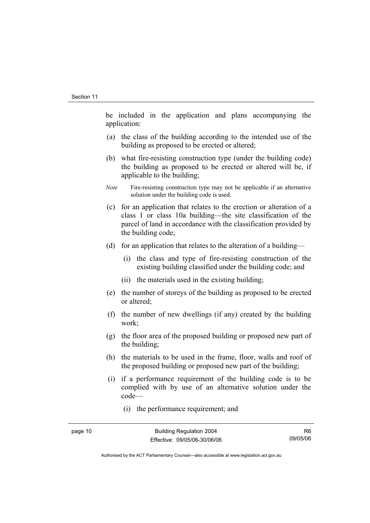be included in the application and plans accompanying the application:

- (a) the class of the building according to the intended use of the building as proposed to be erected or altered;
- (b) what fire-resisting construction type (under the building code) the building as proposed to be erected or altered will be, if applicable to the building;
- *Note* Fire-resisting construction type may not be applicable if an alternative solution under the building code is used.
- (c) for an application that relates to the erection or alteration of a class 1 or class 10a building—the site classification of the parcel of land in accordance with the classification provided by the building code;
- (d) for an application that relates to the alteration of a building—
	- (i) the class and type of fire-resisting construction of the existing building classified under the building code; and
	- (ii) the materials used in the existing building;
- (e) the number of storeys of the building as proposed to be erected or altered;
- (f) the number of new dwellings (if any) created by the building work;
- (g) the floor area of the proposed building or proposed new part of the building;
- (h) the materials to be used in the frame, floor, walls and roof of the proposed building or proposed new part of the building;
- (i) if a performance requirement of the building code is to be complied with by use of an alternative solution under the code—
	- (i) the performance requirement; and

R6 09/05/06

Authorised by the ACT Parliamentary Counsel—also accessible at www.legislation.act.gov.au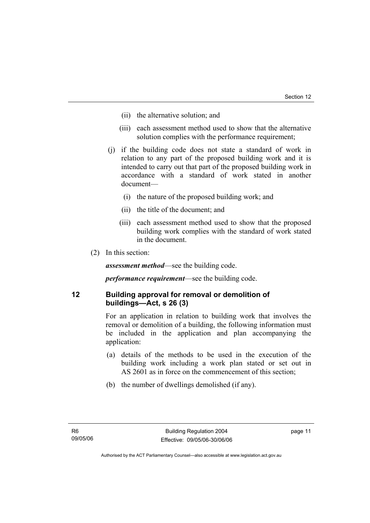- (ii) the alternative solution; and
- (iii) each assessment method used to show that the alternative solution complies with the performance requirement;
- (j) if the building code does not state a standard of work in relation to any part of the proposed building work and it is intended to carry out that part of the proposed building work in accordance with a standard of work stated in another document—
	- (i) the nature of the proposed building work; and
	- (ii) the title of the document; and
	- (iii) each assessment method used to show that the proposed building work complies with the standard of work stated in the document.
- (2) In this section:

*assessment method*—see the building code.

*performance requirement*—see the building code.

## **12 Building approval for removal or demolition of buildings—Act, s 26 (3)**

For an application in relation to building work that involves the removal or demolition of a building, the following information must be included in the application and plan accompanying the application:

- (a) details of the methods to be used in the execution of the building work including a work plan stated or set out in AS 2601 as in force on the commencement of this section;
- (b) the number of dwellings demolished (if any).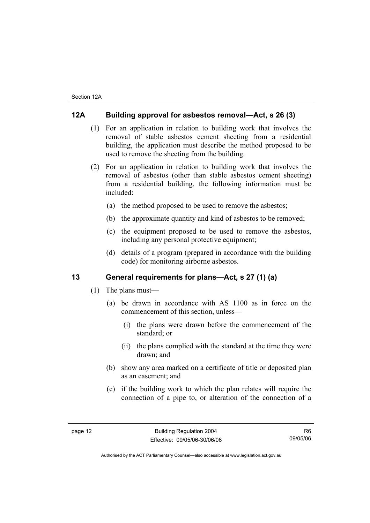## **12A Building approval for asbestos removal—Act, s 26 (3)**

- (1) For an application in relation to building work that involves the removal of stable asbestos cement sheeting from a residential building, the application must describe the method proposed to be used to remove the sheeting from the building.
- (2) For an application in relation to building work that involves the removal of asbestos (other than stable asbestos cement sheeting) from a residential building, the following information must be included:
	- (a) the method proposed to be used to remove the asbestos;
	- (b) the approximate quantity and kind of asbestos to be removed;
	- (c) the equipment proposed to be used to remove the asbestos, including any personal protective equipment;
	- (d) details of a program (prepared in accordance with the building code) for monitoring airborne asbestos.

#### **13 General requirements for plans—Act, s 27 (1) (a)**

- (1) The plans must—
	- (a) be drawn in accordance with AS 1100 as in force on the commencement of this section, unless—
		- (i) the plans were drawn before the commencement of the standard; or
		- (ii) the plans complied with the standard at the time they were drawn; and
	- (b) show any area marked on a certificate of title or deposited plan as an easement; and
	- (c) if the building work to which the plan relates will require the connection of a pipe to, or alteration of the connection of a

R6 09/05/06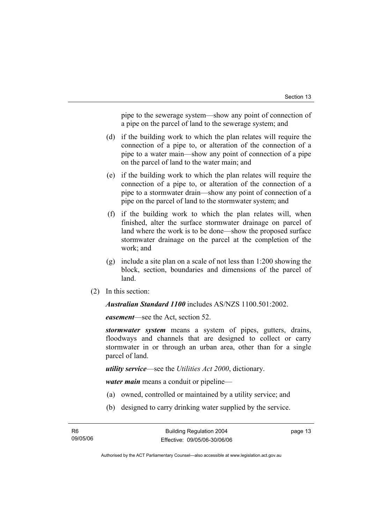pipe to the sewerage system—show any point of connection of a pipe on the parcel of land to the sewerage system; and

- (d) if the building work to which the plan relates will require the connection of a pipe to, or alteration of the connection of a pipe to a water main—show any point of connection of a pipe on the parcel of land to the water main; and
- (e) if the building work to which the plan relates will require the connection of a pipe to, or alteration of the connection of a pipe to a stormwater drain—show any point of connection of a pipe on the parcel of land to the stormwater system; and
- (f) if the building work to which the plan relates will, when finished, alter the surface stormwater drainage on parcel of land where the work is to be done—show the proposed surface stormwater drainage on the parcel at the completion of the work; and
- (g) include a site plan on a scale of not less than 1:200 showing the block, section, boundaries and dimensions of the parcel of land.
- (2) In this section:

*Australian Standard 1100* includes AS/NZS 1100.501:2002.

*easement*—see the Act, section 52.

*stormwater system* means a system of pipes, gutters, drains, floodways and channels that are designed to collect or carry stormwater in or through an urban area, other than for a single parcel of land.

*utility service*—see the *Utilities Act 2000*, dictionary.

*water main* means a conduit or pipeline—

- (a) owned, controlled or maintained by a utility service; and
- (b) designed to carry drinking water supplied by the service.

page 13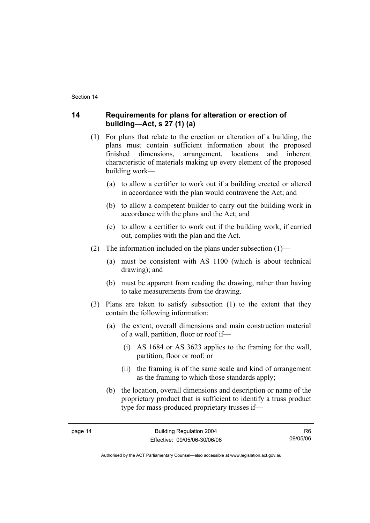## **14 Requirements for plans for alteration or erection of building—Act, s 27 (1) (a)**

- (1) For plans that relate to the erection or alteration of a building, the plans must contain sufficient information about the proposed finished dimensions, arrangement, locations and inherent characteristic of materials making up every element of the proposed building work—
	- (a) to allow a certifier to work out if a building erected or altered in accordance with the plan would contravene the Act; and
	- (b) to allow a competent builder to carry out the building work in accordance with the plans and the Act; and
	- (c) to allow a certifier to work out if the building work, if carried out, complies with the plan and the Act.
- (2) The information included on the plans under subsection  $(1)$ 
	- (a) must be consistent with AS 1100 (which is about technical drawing); and
	- (b) must be apparent from reading the drawing, rather than having to take measurements from the drawing.
- (3) Plans are taken to satisfy subsection (1) to the extent that they contain the following information:
	- (a) the extent, overall dimensions and main construction material of a wall, partition, floor or roof if—
		- (i) AS 1684 or AS 3623 applies to the framing for the wall, partition, floor or roof; or
		- (ii) the framing is of the same scale and kind of arrangement as the framing to which those standards apply;
	- (b) the location, overall dimensions and description or name of the proprietary product that is sufficient to identify a truss product type for mass-produced proprietary trusses if—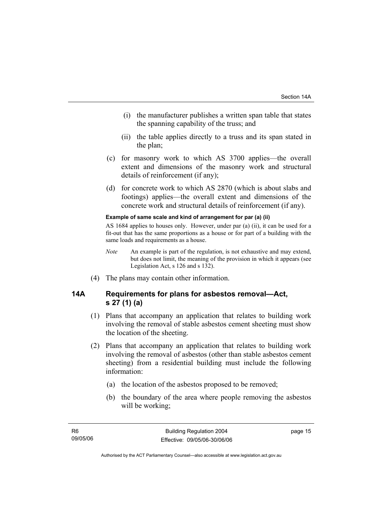- (i) the manufacturer publishes a written span table that states the spanning capability of the truss; and
- (ii) the table applies directly to a truss and its span stated in the plan;
- (c) for masonry work to which AS 3700 applies—the overall extent and dimensions of the masonry work and structural details of reinforcement (if any);
- (d) for concrete work to which AS 2870 (which is about slabs and footings) applies—the overall extent and dimensions of the concrete work and structural details of reinforcement (if any).

#### **Example of same scale and kind of arrangement for par (a) (ii)**

AS 1684 applies to houses only. However, under par (a) (ii), it can be used for a fit-out that has the same proportions as a house or for part of a building with the same loads and requirements as a house.

- *Note* An example is part of the regulation, is not exhaustive and may extend, but does not limit, the meaning of the provision in which it appears (see Legislation Act, s 126 and s 132).
- (4) The plans may contain other information.

## **14A Requirements for plans for asbestos removal—Act, s 27 (1) (a)**

- (1) Plans that accompany an application that relates to building work involving the removal of stable asbestos cement sheeting must show the location of the sheeting.
- (2) Plans that accompany an application that relates to building work involving the removal of asbestos (other than stable asbestos cement sheeting) from a residential building must include the following information:
	- (a) the location of the asbestos proposed to be removed;
	- (b) the boundary of the area where people removing the asbestos will be working;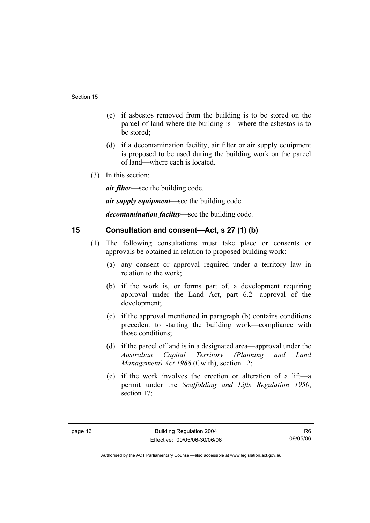- (c) if asbestos removed from the building is to be stored on the parcel of land where the building is—where the asbestos is to be stored;
- (d) if a decontamination facility, air filter or air supply equipment is proposed to be used during the building work on the parcel of land—where each is located.
- (3) In this section:

*air filter—*see the building code.

*air supply equipment—*see the building code.

*decontamination facility—*see the building code.

## **15 Consultation and consent—Act, s 27 (1) (b)**

- (1) The following consultations must take place or consents or approvals be obtained in relation to proposed building work:
	- (a) any consent or approval required under a territory law in relation to the work;
	- (b) if the work is, or forms part of, a development requiring approval under the Land Act, part 6.2—approval of the development;
	- (c) if the approval mentioned in paragraph (b) contains conditions precedent to starting the building work—compliance with those conditions;
	- (d) if the parcel of land is in a designated area—approval under the *Australian Capital Territory (Planning and Land Management) Act 1988* (Cwlth), section 12;
	- (e) if the work involves the erection or alteration of a lift—a permit under the *Scaffolding and Lifts Regulation 1950*, section 17;

R6 09/05/06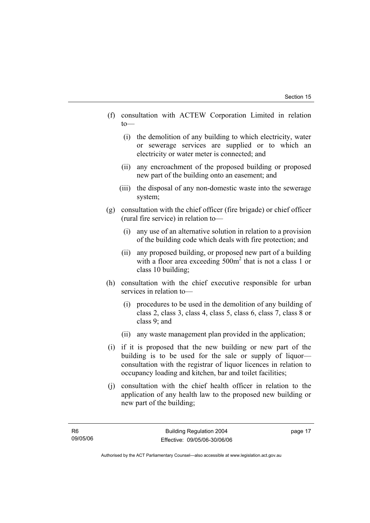- (f) consultation with ACTEW Corporation Limited in relation to—
	- (i) the demolition of any building to which electricity, water or sewerage services are supplied or to which an electricity or water meter is connected; and
	- (ii) any encroachment of the proposed building or proposed new part of the building onto an easement; and
	- (iii) the disposal of any non-domestic waste into the sewerage system;
- (g) consultation with the chief officer (fire brigade) or chief officer (rural fire service) in relation to—
	- (i) any use of an alternative solution in relation to a provision of the building code which deals with fire protection; and
	- (ii) any proposed building, or proposed new part of a building with a floor area exceeding 500m<sup>2</sup> that is not a class 1 or class 10 building;
- (h) consultation with the chief executive responsible for urban services in relation to—
	- (i) procedures to be used in the demolition of any building of class 2, class 3, class 4, class 5, class 6, class 7, class 8 or class 9; and
	- (ii) any waste management plan provided in the application;
- (i) if it is proposed that the new building or new part of the building is to be used for the sale or supply of liquor consultation with the registrar of liquor licences in relation to occupancy loading and kitchen, bar and toilet facilities;
- (j) consultation with the chief health officer in relation to the application of any health law to the proposed new building or new part of the building;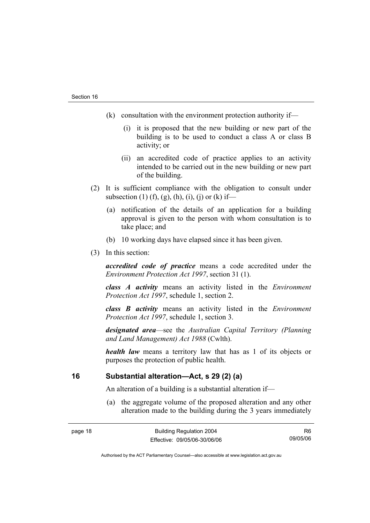- (k) consultation with the environment protection authority if—
	- (i) it is proposed that the new building or new part of the building is to be used to conduct a class A or class B activity; or
	- (ii) an accredited code of practice applies to an activity intended to be carried out in the new building or new part of the building.
- (2) It is sufficient compliance with the obligation to consult under subsection (1) (f), (g), (h), (i), (j) or (k) if—
	- (a) notification of the details of an application for a building approval is given to the person with whom consultation is to take place; and
	- (b) 10 working days have elapsed since it has been given.
- (3) In this section:

*accredited code of practice* means a code accredited under the *Environment Protection Act 1997*, section 31 (1).

*class A activity* means an activity listed in the *Environment Protection Act 1997*, schedule 1, section 2.

*class B activity* means an activity listed in the *Environment Protection Act 1997*, schedule 1, section 3.

*designated area*—see the *Australian Capital Territory (Planning and Land Management) Act 1988* (Cwlth).

*health law* means a territory law that has as 1 of its objects or purposes the protection of public health.

## **16 Substantial alteration—Act, s 29 (2) (a)**

An alteration of a building is a substantial alteration if—

 (a) the aggregate volume of the proposed alteration and any other alteration made to the building during the 3 years immediately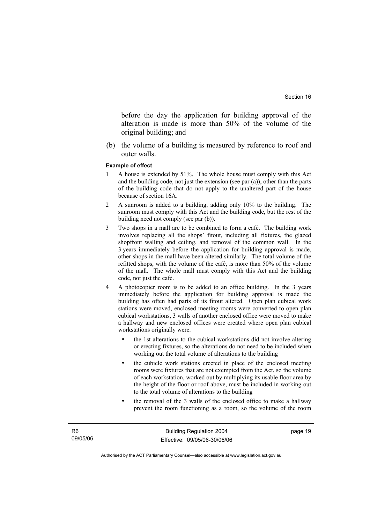before the day the application for building approval of the alteration is made is more than 50% of the volume of the original building; and

 (b) the volume of a building is measured by reference to roof and outer walls.

#### **Example of effect**

- 1 A house is extended by 51%. The whole house must comply with this Act and the building code, not just the extension (see par (a)), other than the parts of the building code that do not apply to the unaltered part of the house because of section 16A.
- 2 A sunroom is added to a building, adding only 10% to the building. The sunroom must comply with this Act and the building code, but the rest of the building need not comply (see par (b)).
- 3 Two shops in a mall are to be combined to form a café. The building work involves replacing all the shops' fitout, including all fixtures, the glazed shopfront walling and ceiling, and removal of the common wall. In the 3 years immediately before the application for building approval is made, other shops in the mall have been altered similarly. The total volume of the refitted shops, with the volume of the café, is more than 50% of the volume of the mall. The whole mall must comply with this Act and the building code, not just the café.
- 4 A photocopier room is to be added to an office building. In the 3 years immediately before the application for building approval is made the building has often had parts of its fitout altered. Open plan cubical work stations were moved, enclosed meeting rooms were converted to open plan cubical workstations, 3 walls of another enclosed office were moved to make a hallway and new enclosed offices were created where open plan cubical workstations originally were.
	- the 1st alterations to the cubical workstations did not involve altering or erecting fixtures, so the alterations do not need to be included when working out the total volume of alterations to the building
	- the cubicle work stations erected in place of the enclosed meeting rooms were fixtures that are not exempted from the Act, so the volume of each workstation, worked out by multiplying its usable floor area by the height of the floor or roof above, must be included in working out to the total volume of alterations to the building
	- the removal of the 3 walls of the enclosed office to make a hallway prevent the room functioning as a room, so the volume of the room

page 19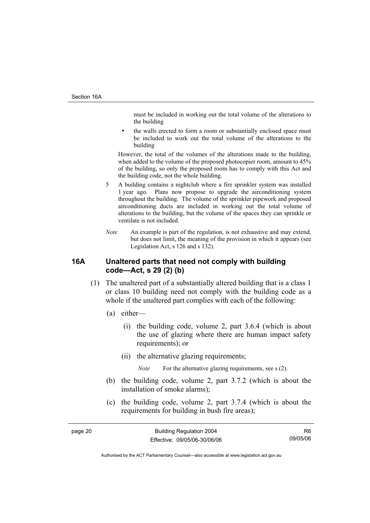must be included in working out the total volume of the alterations to the building

the walls erected to form a room or substantially enclosed space must be included to work out the total volume of the alterations to the building

However, the total of the volumes of the alterations made to the building, when added to the volume of the proposed photocopier room, amount to 45% of the building, so only the proposed room has to comply with this Act and the building code, not the whole building.

- 5 A building contains a nightclub where a fire sprinkler system was installed 1 year ago. Plans now propose to upgrade the airconditioning system throughout the building. The volume of the sprinkler pipework and proposed airconditioning ducts are included in working out the total volume of alterations to the building, but the volume of the spaces they can sprinkle or ventilate is not included.
- *Note* An example is part of the regulation, is not exhaustive and may extend, but does not limit, the meaning of the provision in which it appears (see Legislation Act, s 126 and s 132).

## **16A Unaltered parts that need not comply with building code—Act, s 29 (2) (b)**

- (1) The unaltered part of a substantially altered building that is a class 1 or class 10 building need not comply with the building code as a whole if the unaltered part complies with each of the following:
	- (a) either—
		- (i) the building code, volume 2, part 3.6.4 (which is about the use of glazing where there are human impact safety requirements); or
		- (ii) the alternative glazing requirements;

*Note* For the alternative glazing requirements, see s (2).

- (b) the building code, volume 2, part 3.7.2 (which is about the installation of smoke alarms);
- (c) the building code, volume 2, part 3.7.4 (which is about the requirements for building in bush fire areas);

R6 09/05/06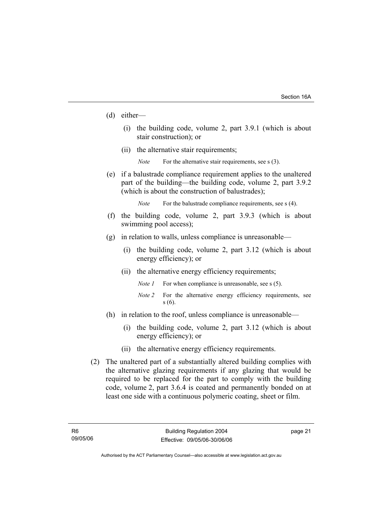- (d) either—
	- (i) the building code, volume 2, part 3.9.1 (which is about stair construction); or
	- (ii) the alternative stair requirements;
		- *Note* For the alternative stair requirements, see s (3).
- (e) if a balustrade compliance requirement applies to the unaltered part of the building—the building code, volume 2, part 3.9.2 (which is about the construction of balustrades);

*Note* For the balustrade compliance requirements, see s (4).

- (f) the building code, volume 2, part 3.9.3 (which is about swimming pool access);
- (g) in relation to walls, unless compliance is unreasonable—
	- (i) the building code, volume 2, part 3.12 (which is about energy efficiency); or
	- (ii) the alternative energy efficiency requirements;
		- *Note 1* For when compliance is unreasonable, see s (5).
		- *Note 2* For the alternative energy efficiency requirements, see s (6).
- (h) in relation to the roof, unless compliance is unreasonable—
	- (i) the building code, volume 2, part 3.12 (which is about energy efficiency); or
	- (ii) the alternative energy efficiency requirements.
- (2) The unaltered part of a substantially altered building complies with the alternative glazing requirements if any glazing that would be required to be replaced for the part to comply with the building code, volume 2, part 3.6.4 is coated and permanently bonded on at least one side with a continuous polymeric coating, sheet or film.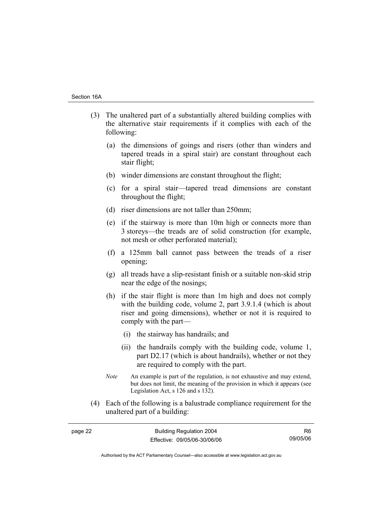- (3) The unaltered part of a substantially altered building complies with the alternative stair requirements if it complies with each of the following:
	- (a) the dimensions of goings and risers (other than winders and tapered treads in a spiral stair) are constant throughout each stair flight;
	- (b) winder dimensions are constant throughout the flight;
	- (c) for a spiral stair—tapered tread dimensions are constant throughout the flight;
	- (d) riser dimensions are not taller than 250mm;
	- (e) if the stairway is more than 10m high or connects more than 3 storeys—the treads are of solid construction (for example, not mesh or other perforated material);
	- (f) a 125mm ball cannot pass between the treads of a riser opening;
	- (g) all treads have a slip-resistant finish or a suitable non-skid strip near the edge of the nosings;
	- (h) if the stair flight is more than 1m high and does not comply with the building code, volume 2, part 3.9.1.4 (which is about riser and going dimensions), whether or not it is required to comply with the part—
		- (i) the stairway has handrails; and
		- (ii) the handrails comply with the building code, volume 1, part D2.17 (which is about handrails), whether or not they are required to comply with the part.
	- *Note* An example is part of the regulation, is not exhaustive and may extend, but does not limit, the meaning of the provision in which it appears (see Legislation Act, s 126 and s 132).
- (4) Each of the following is a balustrade compliance requirement for the unaltered part of a building:

| page 22 | <b>Building Regulation 2004</b> |          |
|---------|---------------------------------|----------|
|         | Effective: 09/05/06-30/06/06    | 09/05/06 |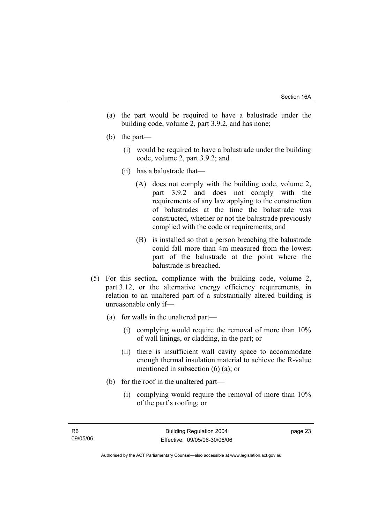- (a) the part would be required to have a balustrade under the building code, volume 2, part 3.9.2, and has none;
- (b) the part—
	- (i) would be required to have a balustrade under the building code, volume 2, part 3.9.2; and
	- (ii) has a balustrade that—
		- (A) does not comply with the building code, volume 2, part 3.9.2 and does not comply with the requirements of any law applying to the construction of balustrades at the time the balustrade was constructed, whether or not the balustrade previously complied with the code or requirements; and
		- (B) is installed so that a person breaching the balustrade could fall more than 4m measured from the lowest part of the balustrade at the point where the balustrade is breached.
- (5) For this section, compliance with the building code, volume 2, part 3.12, or the alternative energy efficiency requirements, in relation to an unaltered part of a substantially altered building is unreasonable only if—
	- (a) for walls in the unaltered part—
		- (i) complying would require the removal of more than 10% of wall linings, or cladding, in the part; or
		- (ii) there is insufficient wall cavity space to accommodate enough thermal insulation material to achieve the R-value mentioned in subsection (6) (a); or
	- (b) for the roof in the unaltered part—
		- (i) complying would require the removal of more than 10% of the part's roofing; or

Authorised by the ACT Parliamentary Counsel—also accessible at www.legislation.act.gov.au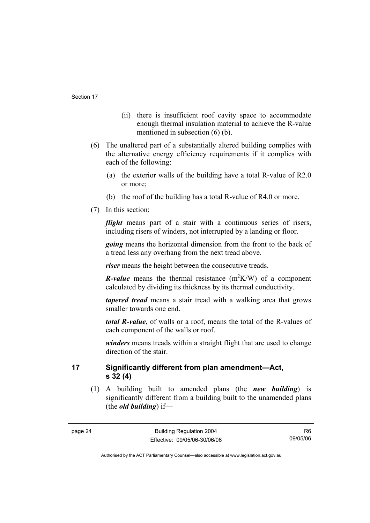- (ii) there is insufficient roof cavity space to accommodate enough thermal insulation material to achieve the R-value mentioned in subsection (6) (b).
- (6) The unaltered part of a substantially altered building complies with the alternative energy efficiency requirements if it complies with each of the following:
	- (a) the exterior walls of the building have a total R-value of R2.0 or more;
	- (b) the roof of the building has a total R-value of R4.0 or more.
- (7) In this section:

*flight* means part of a stair with a continuous series of risers, including risers of winders, not interrupted by a landing or floor.

*going* means the horizontal dimension from the front to the back of a tread less any overhang from the next tread above.

*riser* means the height between the consecutive treads.

*R*-value means the thermal resistance  $(m^2K/W)$  of a component calculated by dividing its thickness by its thermal conductivity.

*tapered tread* means a stair tread with a walking area that grows smaller towards one end.

*total R-value*, of walls or a roof, means the total of the R-values of each component of the walls or roof.

*winders* means treads within a straight flight that are used to change direction of the stair.

**17 Significantly different from plan amendment—Act, s 32 (4)** 

 (1) A building built to amended plans (the *new building*) is significantly different from a building built to the unamended plans (the *old building*) if—

R6 09/05/06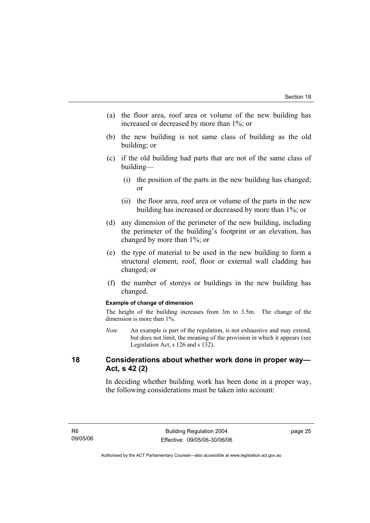- (a) the floor area, roof area or volume of the new building has increased or decreased by more than 1%; or
- (b) the new building is not same class of building as the old building; or
- (c) if the old building had parts that are not of the same class of building—
	- (i) the position of the parts in the new building has changed; or
	- (ii) the floor area, roof area or volume of the parts in the new building has increased or decreased by more than 1%; or
- (d) any dimension of the perimeter of the new building, including the perimeter of the building's footprint or an elevation, has changed by more than 1%; or
- (e) the type of material to be used in the new building to form a structural element, roof, floor or external wall cladding has changed; or
- (f) the number of storeys or buildings in the new building has changed.

#### **Example of change of dimension**

The height of the building increases from 3m to 3.5m. The change of the dimension is more than 1%.

*Note* An example is part of the regulation, is not exhaustive and may extend, but does not limit, the meaning of the provision in which it appears (see Legislation Act, s 126 and s 132).

#### **18 Considerations about whether work done in proper way— Act, s 42 (2)**

In deciding whether building work has been done in a proper way, the following considerations must be taken into account: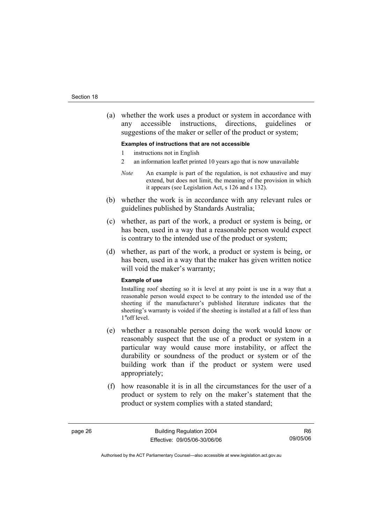(a) whether the work uses a product or system in accordance with any accessible instructions, directions, guidelines or suggestions of the maker or seller of the product or system;

#### **Examples of instructions that are not accessible**

- 1 instructions not in English
- 2 an information leaflet printed 10 years ago that is now unavailable
- *Note* An example is part of the regulation, is not exhaustive and may extend, but does not limit, the meaning of the provision in which it appears (see Legislation Act, s 126 and s 132).
- (b) whether the work is in accordance with any relevant rules or guidelines published by Standards Australia;
- (c) whether, as part of the work, a product or system is being, or has been, used in a way that a reasonable person would expect is contrary to the intended use of the product or system;
- (d) whether, as part of the work, a product or system is being, or has been, used in a way that the maker has given written notice will void the maker's warranty;

#### **Example of use**

Installing roof sheeting so it is level at any point is use in a way that a reasonable person would expect to be contrary to the intended use of the sheeting if the manufacturer's published literature indicates that the sheeting's warranty is voided if the sheeting is installed at a fall of less than 1°off level.

- (e) whether a reasonable person doing the work would know or reasonably suspect that the use of a product or system in a particular way would cause more instability, or affect the durability or soundness of the product or system or of the building work than if the product or system were used appropriately;
- (f) how reasonable it is in all the circumstances for the user of a product or system to rely on the maker's statement that the product or system complies with a stated standard;

R6 09/05/06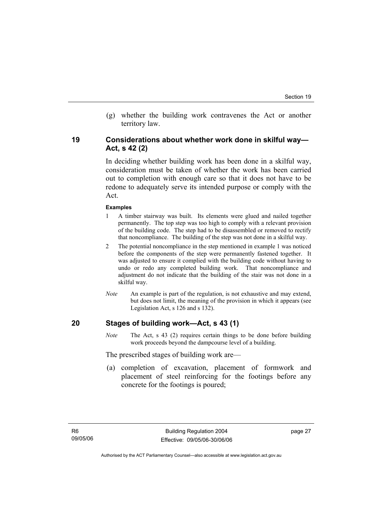(g) whether the building work contravenes the Act or another territory law.

#### **19 Considerations about whether work done in skilful way— Act, s 42 (2)**

In deciding whether building work has been done in a skilful way, consideration must be taken of whether the work has been carried out to completion with enough care so that it does not have to be redone to adequately serve its intended purpose or comply with the Act.

#### **Examples**

- 1 A timber stairway was built. Its elements were glued and nailed together permanently. The top step was too high to comply with a relevant provision of the building code. The step had to be disassembled or removed to rectify that noncompliance. The building of the step was not done in a skilful way.
- 2 The potential noncompliance in the step mentioned in example 1 was noticed before the components of the step were permanently fastened together. It was adjusted to ensure it complied with the building code without having to undo or redo any completed building work. That noncompliance and adjustment do not indicate that the building of the stair was not done in a skilful way.
- *Note* An example is part of the regulation, is not exhaustive and may extend, but does not limit, the meaning of the provision in which it appears (see Legislation Act, s 126 and s 132).

#### **20 Stages of building work—Act, s 43 (1)**

*Note* The Act, s 43 (2) requires certain things to be done before building work proceeds beyond the dampcourse level of a building.

The prescribed stages of building work are—

 (a) completion of excavation, placement of formwork and placement of steel reinforcing for the footings before any concrete for the footings is poured;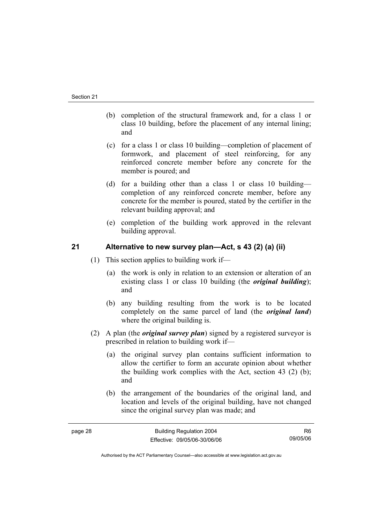- (b) completion of the structural framework and, for a class 1 or class 10 building, before the placement of any internal lining; and
- (c) for a class 1 or class 10 building—completion of placement of formwork, and placement of steel reinforcing, for any reinforced concrete member before any concrete for the member is poured; and
- (d) for a building other than a class 1 or class 10 building completion of any reinforced concrete member, before any concrete for the member is poured, stated by the certifier in the relevant building approval; and
- (e) completion of the building work approved in the relevant building approval.

## **21 Alternative to new survey plan—Act, s 43 (2) (a) (ii)**

- (1) This section applies to building work if—
	- (a) the work is only in relation to an extension or alteration of an existing class 1 or class 10 building (the *original building*); and
	- (b) any building resulting from the work is to be located completely on the same parcel of land (the *original land*) where the original building is.
- (2) A plan (the *original survey plan*) signed by a registered surveyor is prescribed in relation to building work if—
	- (a) the original survey plan contains sufficient information to allow the certifier to form an accurate opinion about whether the building work complies with the Act, section 43 (2) (b); and
	- (b) the arrangement of the boundaries of the original land, and location and levels of the original building, have not changed since the original survey plan was made; and

R6 09/05/06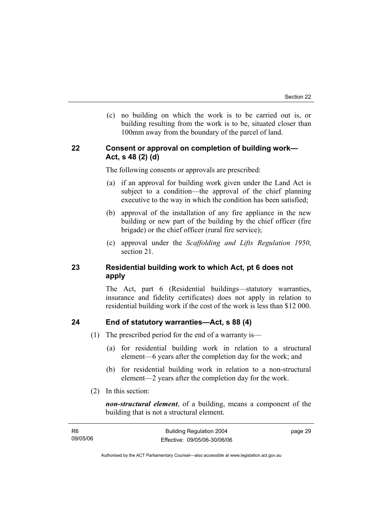(c) no building on which the work is to be carried out is, or building resulting from the work is to be, situated closer than 100mm away from the boundary of the parcel of land.

## **22 Consent or approval on completion of building work— Act, s 48 (2) (d)**

The following consents or approvals are prescribed:

- (a) if an approval for building work given under the Land Act is subject to a condition—the approval of the chief planning executive to the way in which the condition has been satisfied;
- (b) approval of the installation of any fire appliance in the new building or new part of the building by the chief officer (fire brigade) or the chief officer (rural fire service);
- (c) approval under the *Scaffolding and Lifts Regulation 1950*, section 21.

## **23 Residential building work to which Act, pt 6 does not apply**

The Act, part 6 (Residential buildings—statutory warranties, insurance and fidelity certificates) does not apply in relation to residential building work if the cost of the work is less than \$12 000.

## **24 End of statutory warranties—Act, s 88 (4)**

- (1) The prescribed period for the end of a warranty is—
	- (a) for residential building work in relation to a structural element—6 years after the completion day for the work; and
	- (b) for residential building work in relation to a non-structural element—2 years after the completion day for the work.
- (2) In this section:

*non-structural element*, of a building, means a component of the building that is not a structural element.

| - R6     | <b>Building Regulation 2004</b> | page 29 |
|----------|---------------------------------|---------|
| 09/05/06 | Effective: 09/05/06-30/06/06    |         |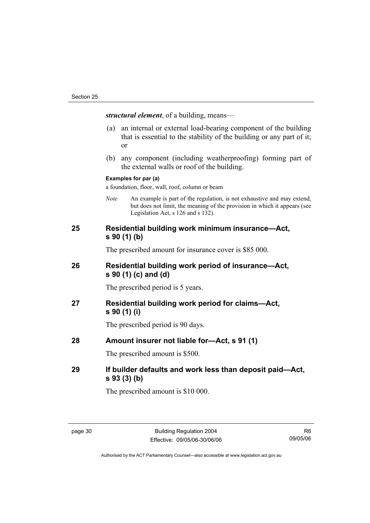*structural element*, of a building, means—

- (a) an internal or external load-bearing component of the building that is essential to the stability of the building or any part of it; or
- (b) any component (including weatherproofing) forming part of the external walls or roof of the building.

#### **Examples for par (a)**

a foundation, floor, wall, roof, column or beam

*Note* An example is part of the regulation, is not exhaustive and may extend, but does not limit, the meaning of the provision in which it appears (see Legislation Act, s 126 and s 132).

## **25 Residential building work minimum insurance—Act, s 90 (1) (b)**

The prescribed amount for insurance cover is \$85 000.

## **26 Residential building work period of insurance—Act, s 90 (1) (c) and (d)**

The prescribed period is 5 years.

## **27 Residential building work period for claims—Act, s 90 (1) (i)**

The prescribed period is 90 days.

## **28 Amount insurer not liable for—Act, s 91 (1)**

The prescribed amount is \$500.

## **29 If builder defaults and work less than deposit paid—Act, s 93 (3) (b)**

The prescribed amount is \$10 000.

R6 09/05/06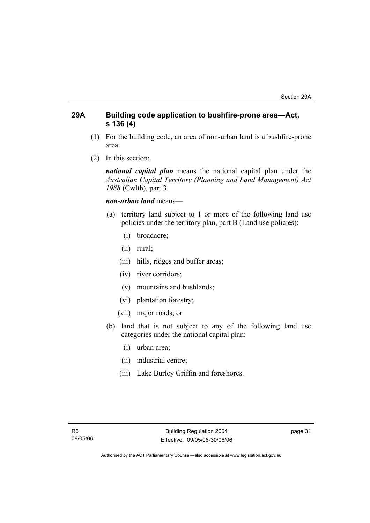## **29A Building code application to bushfire-prone area—Act, s 136 (4)**

- (1) For the building code, an area of non-urban land is a bushfire-prone area.
- (2) In this section:

*national capital plan* means the national capital plan under the *Australian Capital Territory (Planning and Land Management) Act 1988* (Cwlth), part 3.

#### *non-urban land* means—

- (a) territory land subject to 1 or more of the following land use policies under the territory plan, part B (Land use policies):
	- (i) broadacre;
	- (ii) rural;
	- (iii) hills, ridges and buffer areas;
	- (iv) river corridors;
	- (v) mountains and bushlands;
	- (vi) plantation forestry;
	- (vii) major roads; or
- (b) land that is not subject to any of the following land use categories under the national capital plan:
	- (i) urban area;
	- (ii) industrial centre;
	- (iii) Lake Burley Griffin and foreshores.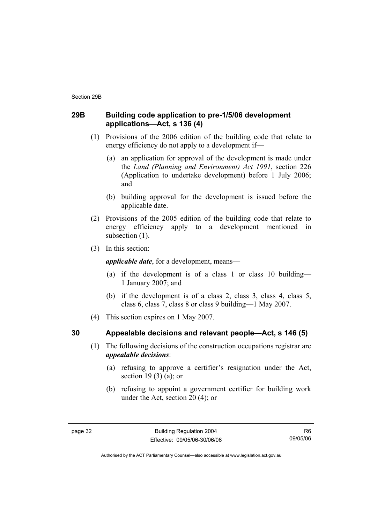## **29B Building code application to pre-1/5/06 development applications—Act, s 136 (4)**

- (1) Provisions of the 2006 edition of the building code that relate to energy efficiency do not apply to a development if—
	- (a) an application for approval of the development is made under the *Land (Planning and Environment) Act 1991*, section 226 (Application to undertake development) before 1 July 2006; and
	- (b) building approval for the development is issued before the applicable date.
- (2) Provisions of the 2005 edition of the building code that relate to energy efficiency apply to a development mentioned in subsection  $(1)$ .
- (3) In this section:

*applicable date*, for a development, means—

- (a) if the development is of a class 1 or class 10 building— 1 January 2007; and
- (b) if the development is of a class 2, class 3, class 4, class 5, class 6, class 7, class 8 or class 9 building—1 May 2007.
- (4) This section expires on 1 May 2007.

## **30 Appealable decisions and relevant people—Act, s 146 (5)**

- (1) The following decisions of the construction occupations registrar are *appealable decisions*:
	- (a) refusing to approve a certifier's resignation under the Act, section 19 $(3)$  $(a)$ ; or
	- (b) refusing to appoint a government certifier for building work under the Act, section 20 (4); or

R6 09/05/06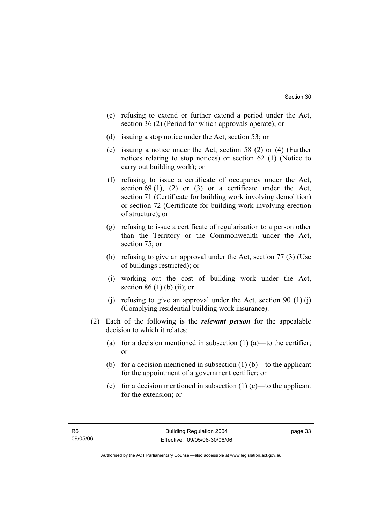- (c) refusing to extend or further extend a period under the Act, section 36 (2) (Period for which approvals operate); or
- (d) issuing a stop notice under the Act, section 53; or
- (e) issuing a notice under the Act, section 58 (2) or (4) (Further notices relating to stop notices) or section 62 (1) (Notice to carry out building work); or
- (f) refusing to issue a certificate of occupancy under the Act, section 69 (1), (2) or (3) or a certificate under the Act, section 71 (Certificate for building work involving demolition) or section 72 (Certificate for building work involving erection of structure); or
- (g) refusing to issue a certificate of regularisation to a person other than the Territory or the Commonwealth under the Act, section 75; or
- (h) refusing to give an approval under the Act, section 77 (3) (Use of buildings restricted); or
- (i) working out the cost of building work under the Act, section 86 $(1)$  $(b)$  $(ii)$ ; or
- (i) refusing to give an approval under the Act, section 90  $(1)$  (j) (Complying residential building work insurance).
- (2) Each of the following is the *relevant person* for the appealable decision to which it relates:
	- (a) for a decision mentioned in subsection  $(1)$  (a)—to the certifier; or
	- (b) for a decision mentioned in subsection  $(1)$  (b)—to the applicant for the appointment of a government certifier; or
	- (c) for a decision mentioned in subsection  $(1)$  (c)—to the applicant for the extension; or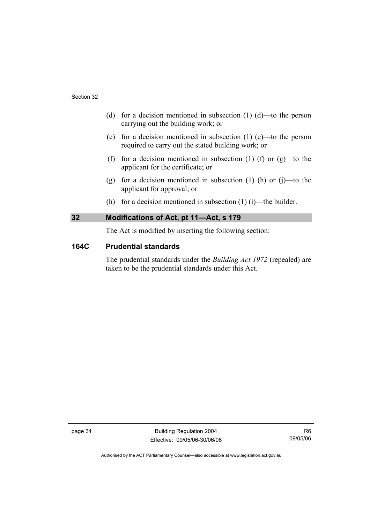- (d) for a decision mentioned in subsection  $(1)$   $(d)$ —to the person carrying out the building work; or
- (e) for a decision mentioned in subsection (1) (e)—to the person required to carry out the stated building work; or
- (f) for a decision mentioned in subsection (1) (f) or  $(g)$ —to the applicant for the certificate; or
- (g) for a decision mentioned in subsection (1) (h) or (j)—to the applicant for approval; or
- (h) for a decision mentioned in subsection  $(1)$  (i)—the builder.

## **32 Modifications of Act, pt 11—Act, s 179**

The Act is modified by inserting the following section:

#### **164C Prudential standards**

The prudential standards under the *Building Act 1972* (repealed) are taken to be the prudential standards under this Act.

page 34 Building Regulation 2004 Effective: 09/05/06-30/06/06

R6 09/05/06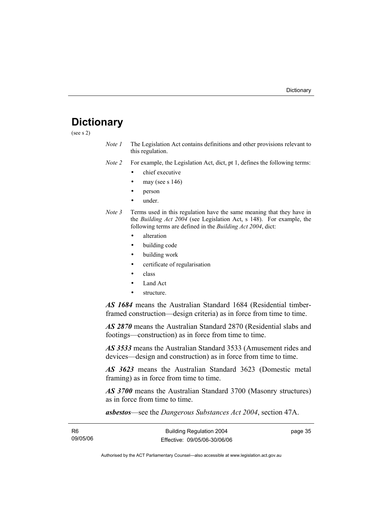## **Dictionary**

(see s 2)

*Note 1* The Legislation Act contains definitions and other provisions relevant to this regulation.

*Note 2* For example, the Legislation Act, dict, pt 1, defines the following terms:

- chief executive
- may (see s  $146$ )
- person
- under.
- *Note 3* Terms used in this regulation have the same meaning that they have in the *Building Act 2004* (see Legislation Act, s 148). For example, the following terms are defined in the *Building Act 2004*, dict:
	- alteration
	- building code
	- building work
	- certificate of regularisation
	- class
	- Land Act
	- structure.

*AS 1684* means the Australian Standard 1684 (Residential timberframed construction—design criteria) as in force from time to time.

*AS 2870* means the Australian Standard 2870 (Residential slabs and footings—construction) as in force from time to time.

*AS 3533* means the Australian Standard 3533 (Amusement rides and devices—design and construction) as in force from time to time.

*AS 3623* means the Australian Standard 3623 (Domestic metal framing) as in force from time to time.

*AS 3700* means the Australian Standard 3700 (Masonry structures) as in force from time to time.

*asbestos*—see the *Dangerous Substances Act 2004*, section 47A.

| R <sub>6</sub> | <b>Building Regulation 2004</b> | page 35 |
|----------------|---------------------------------|---------|
| 09/05/06       | Effective: 09/05/06-30/06/06    |         |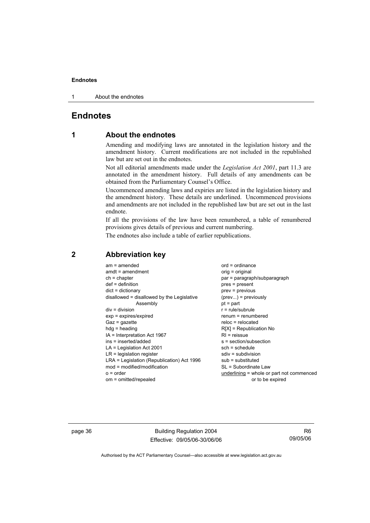1 About the endnotes

## **Endnotes**

## **1 About the endnotes**

Amending and modifying laws are annotated in the legislation history and the amendment history. Current modifications are not included in the republished law but are set out in the endnotes.

Not all editorial amendments made under the *Legislation Act 2001*, part 11.3 are annotated in the amendment history. Full details of any amendments can be obtained from the Parliamentary Counsel's Office.

Uncommenced amending laws and expiries are listed in the legislation history and the amendment history. These details are underlined. Uncommenced provisions and amendments are not included in the republished law but are set out in the last endnote.

If all the provisions of the law have been renumbered, a table of renumbered provisions gives details of previous and current numbering.

The endnotes also include a table of earlier republications.

| $am = amended$                             | $ord = ordinance$                         |
|--------------------------------------------|-------------------------------------------|
| $amdt = amendment$                         | $orig = original$                         |
| $ch = chapter$                             | par = paragraph/subparagraph              |
| $def = definition$                         | $pres = present$                          |
| $dict = dictionary$                        | prev = previous                           |
| disallowed = disallowed by the Legislative | $(\text{prev}) = \text{previously}$       |
| Assembly                                   | $pt = part$                               |
| $div = division$                           | $r = rule/subrule$                        |
| $exp = expires/expired$                    | $renum = renumbered$                      |
| $Gaz = gazette$                            | $reloc = relocated$                       |
| $hdg = heading$                            | $R[X]$ = Republication No                 |
| $IA = Interpretation Act 1967$             | $RI =$ reissue                            |
| $ins = inserted/added$                     | $s = section/subsection$                  |
| $LA =$ Legislation Act 2001                | $sch = schedule$                          |
| $LR =$ legislation register                | $sdiv = subdivision$                      |
| LRA = Legislation (Republication) Act 1996 | $sub =$ substituted                       |
| $mod = modified/modification$              | SL = Subordinate Law                      |
| $o = order$                                | underlining = whole or part not commenced |
| om = omitted/repealed                      | or to be expired                          |

## **2 Abbreviation key**

page 36 Building Regulation 2004 Effective: 09/05/06-30/06/06

R6 09/05/06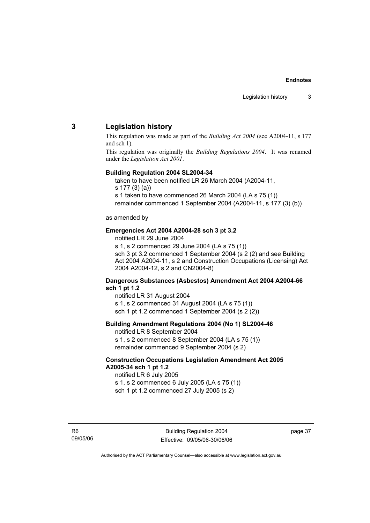## **3 Legislation history**

This regulation was made as part of the *Building Act 2004* (see A2004-11, s 177 and sch 1).

This regulation was originally the *Building Regulations 2004*. It was renamed under the *Legislation Act 2001*.

#### **Building Regulation 2004 SL2004-34**

taken to have been notified LR 26 March 2004 (A2004-11,

s 177 (3) (a))

s 1 taken to have commenced 26 March 2004 (LA s 75 (1))

remainder commenced 1 September 2004 (A2004-11, s 177 (3) (b))

#### as amended by

#### **Emergencies Act 2004 A2004-28 sch 3 pt 3.2**

notified LR 29 June 2004

s 1, s 2 commenced 29 June 2004 (LA s 75 (1)) sch 3 pt 3.2 commenced 1 September 2004 (s 2 (2) and see Building Act 2004 A2004-11, s 2 and Construction Occupations (Licensing) Act 2004 A2004-12, s 2 and CN2004-8)

#### **Dangerous Substances (Asbestos) Amendment Act 2004 A2004-66 sch 1 pt 1.2**

notified LR 31 August 2004 s 1, s 2 commenced 31 August 2004 (LA s 75 (1)) sch 1 pt 1.2 commenced 1 September 2004 (s 2 (2))

#### **Building Amendment Regulations 2004 (No 1) SL2004-46**

notified LR 8 September 2004 s 1, s 2 commenced 8 September 2004 (LA s 75 (1)) remainder commenced 9 September 2004 (s 2)

#### **Construction Occupations Legislation Amendment Act 2005 A2005-34 sch 1 pt 1.2**

notified LR 6 July 2005 s 1, s 2 commenced 6 July 2005 (LA s 75 (1)) sch 1 pt 1.2 commenced 27 July 2005 (s 2)

R6 09/05/06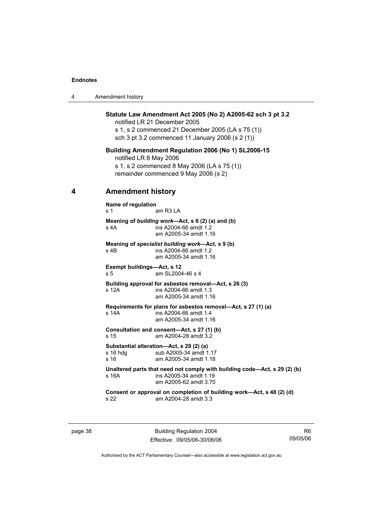| Amendment history |  |
|-------------------|--|
|-------------------|--|

#### **Statute Law Amendment Act 2005 (No 2) A2005-62 sch 3 pt 3.2**

notified LR 21 December 2005 s 1, s 2 commenced 21 December 2005 (LA s 75 (1)) sch 3 pt 3.2 commenced 11 January 2006 (s 2 (1))

#### **Building Amendment Regulation 2006 (No 1) SL2006-15**

notified LR 8 May 2006 s 1, s 2 commenced 8 May 2006 (LA s 75 (1)) remainder commenced 9 May 2006 (s 2)

#### **4 Amendment history**

**Name of regulation**  s 1 am R3 LA **Meaning of** *building work***—Act, s 6 (2) (a) and (b)**  s 4A ins A2004-66 amdt 1.2 am A2005-34 amdt 1.16 **Meaning of** *specialist building work***—Act, s 9 (b)**  s 4B ins A2004-66 amdt 1.2 am A2005-34 amdt 1.16 **Exempt buildings—Act, s 12**  s 5 am SL2004-46 s 4 **Building approval for asbestos removal—Act, s 26 (3)**  s 12A  $\sim$  ins A2004-66 amdt 1.3 am A2005-34 amdt 1.16 **Requirements for plans for asbestos removal—Act, s 27 (1) (a)**  s 14A ins A2004-66 amdt 1.4 am A2005-34 amdt 1.16 **Consultation and consent—Act, s 27 (1) (b)**  s 15 am A2004-28 amdt 3.2 **Substantial alteration—Act, s 29 (2) (a)**  s 16 hdg sub A2005-34 amdt 1.17 s 16 am A2005-34 amdt 1.18 **Unaltered parts that need not comply with building code—Act, s 29 (2) (b)**  s 16A ins A2005-34 amdt 1.19 am A2005-62 amdt 3.70 **Consent or approval on completion of building work—Act, s 48 (2) (d)**  s 22 am A2004-28 amdt 3.3

page 38 Building Regulation 2004 Effective: 09/05/06-30/06/06

R6 09/05/06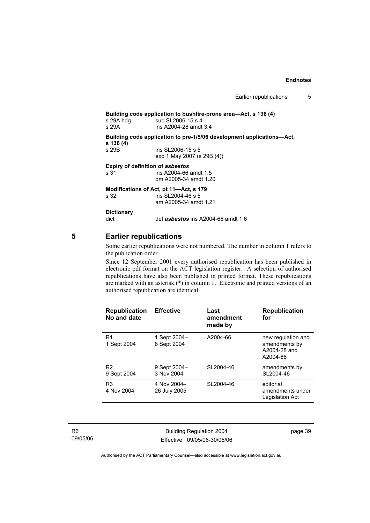Earlier republications 5

**Building code application to bushfire-prone area—Act, s 136 (4)**  s 29A hdg sub SL2006-15 s 4 s 29A ins A2004-28 amdt 3.4 **Building code application to pre-1/5/06 development applications—Act, s 136 (4)**  s 29B ins SL2006-15 s 5 exp 1 May 2007 (s 29B (4)) **Expiry of definition of** *asbestos*<br>s 31 **ins A2004-66** ins A2004-66 amdt 1.5 om A2005-34 amdt 1.20 **Modifications of Act, pt 11—Act, s 179**  s 32 ins SL2004-46 s 5 am A2005-34 amdt 1.21 **Dictionary**  dict def *asbestos* ins A2004-66 amdt 1.6

## **5 Earlier republications**

Some earlier republications were not numbered. The number in column 1 refers to the publication order.

Since 12 September 2001 every authorised republication has been published in electronic pdf format on the ACT legislation register. A selection of authorised republications have also been published in printed format. These republications are marked with an asterisk (\*) in column 1. Electronic and printed versions of an authorised republication are identical.

| <b>Republication</b><br>No and date | <b>Effective</b>            | Last<br>amendment<br>made by | <b>Republication</b><br>for                                     |
|-------------------------------------|-----------------------------|------------------------------|-----------------------------------------------------------------|
| R <sub>1</sub><br>1 Sept 2004       | 1 Sept 2004-<br>8 Sept 2004 | A2004-66                     | new regulation and<br>amendments by<br>A2004-28 and<br>A2004-66 |
| R <sub>2</sub><br>9 Sept 2004       | 9 Sept 2004-<br>3 Nov 2004  | SL2004-46                    | amendments by<br>SL2004-46                                      |
| R <sub>3</sub><br>4 Nov 2004        | 4 Nov 2004-<br>26 July 2005 | SL2004-46                    | editorial<br>amendments under<br>Legislation Act                |

R6 09/05/06

Building Regulation 2004 Effective: 09/05/06-30/06/06 page 39